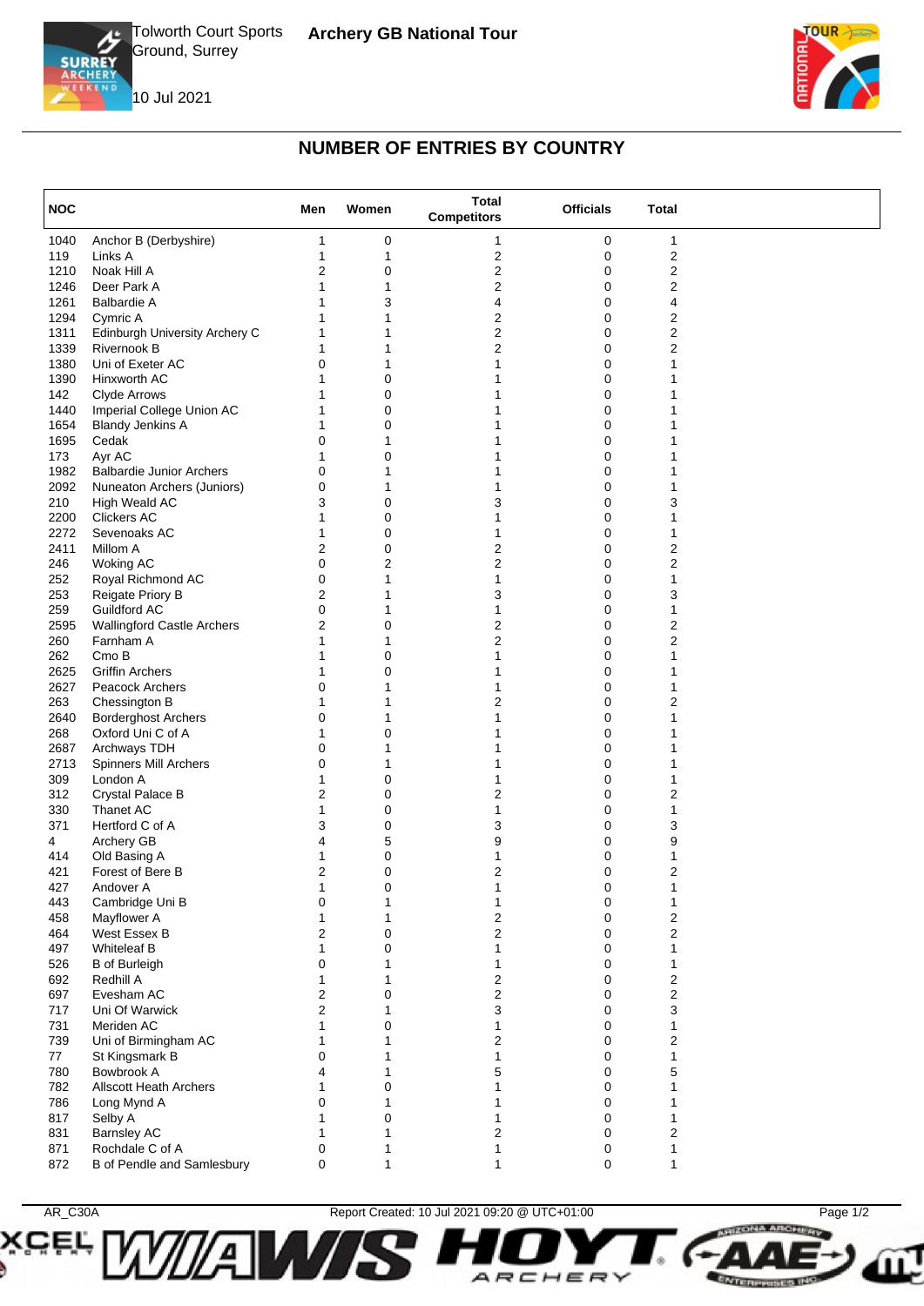





**HIZONA ARCHIVEY** 

**ENTERPRISES INC.** 

## **NUMBER OF ENTRIES BY COUNTRY**

| <b>NOC</b> |                                   | Men            | Women       | <b>Total</b><br><b>Competitors</b> | <b>Officials</b> | <b>Total</b>            |  |
|------------|-----------------------------------|----------------|-------------|------------------------------------|------------------|-------------------------|--|
| 1040       | Anchor B (Derbyshire)             | 1              | 0           | 1                                  | 0                | 1                       |  |
| 119        | Links A                           | 1              | 1           | $\overline{2}$                     | 0                | $\overline{\mathbf{c}}$ |  |
| 1210       | Noak Hill A                       | 2              | 0           | 2                                  | 0                | $\overline{\mathbf{c}}$ |  |
| 1246       | Deer Park A                       |                | 1           | 2                                  | 0                | $\overline{2}$          |  |
| 1261       | <b>Balbardie A</b>                |                | 3           | 4                                  | 0                | 4                       |  |
| 1294       | Cymric A                          |                |             | 2                                  | 0                | $\overline{2}$          |  |
| 1311       | Edinburgh University Archery C    |                |             | 2                                  | 0                | $\overline{\mathbf{c}}$ |  |
| 1339       | Rivernook B                       |                |             | 2                                  | 0                | $\overline{2}$          |  |
| 1380       | Uni of Exeter AC                  | $\Omega$       |             | 1                                  | 0                |                         |  |
| 1390       | Hinxworth AC                      |                | $\mathbf 0$ |                                    | 0                |                         |  |
| 142        | Clyde Arrows                      |                | 0           |                                    | 0                |                         |  |
| 1440       | Imperial College Union AC         |                | 0           |                                    | 0                |                         |  |
| 1654       | <b>Blandy Jenkins A</b>           |                | $\mathbf 0$ |                                    | 0                |                         |  |
| 1695       | Cedak                             | 0              |             |                                    | 0                |                         |  |
| 173        | Ayr AC                            |                | $\mathbf 0$ |                                    | 0                |                         |  |
| 1982       | <b>Balbardie Junior Archers</b>   | 0              |             |                                    | 0                |                         |  |
| 2092       | Nuneaton Archers (Juniors)        | 0              |             |                                    | 0                |                         |  |
| 210        | High Weald AC                     | 3              | $\mathbf 0$ | 3                                  | 0                | 3                       |  |
| 2200       | <b>Clickers AC</b>                |                | $\mathbf 0$ |                                    | 0                |                         |  |
| 2272       | Sevenoaks AC                      | 1              | 0           |                                    | 0                |                         |  |
| 2411       | Millom A                          | 2              | $\mathbf 0$ | 2                                  | 0                | 2                       |  |
| 246        | <b>Woking AC</b>                  | 0              | 2           | 2                                  | 0                | $\overline{2}$          |  |
| 252        | Royal Richmond AC                 | 0              | 1           | 1                                  | 0                | 1                       |  |
| 253        | Reigate Priory B                  | 2              | 1           | 3                                  | 0                | 3                       |  |
| 259        | Guildford AC                      | 0              |             | 1                                  | 0                | 1                       |  |
| 2595       | <b>Wallingford Castle Archers</b> | 2              | 0           | 2                                  | 0                | $\overline{2}$          |  |
| 260        | Farnham A                         |                |             | 2                                  | 0                | $\overline{2}$          |  |
| 262        | Cmo B                             | 1              | 0           | 1                                  | 0                |                         |  |
| 2625       | <b>Griffin Archers</b>            |                | 0           |                                    | 0                |                         |  |
| 2627       | Peacock Archers                   | 0              |             | 1                                  | 0                |                         |  |
| 263        | Chessington B                     | 1              |             | 2                                  | 0                | 2                       |  |
| 2640       | <b>Borderghost Archers</b>        | 0              | 1           | 1                                  | 0                |                         |  |
| 268        | Oxford Uni C of A                 |                | $\mathbf 0$ |                                    | 0                |                         |  |
| 2687       | Archways TDH                      | 0              | 1           |                                    | 0                |                         |  |
| 2713       | Spinners Mill Archers             | 0              | 1           | 1                                  | 0                |                         |  |
| 309        | London A                          | 1              | $\mathbf 0$ | 1                                  | 0                |                         |  |
| 312        | Crystal Palace B                  | 2              | 0           | 2                                  | 0                | 2                       |  |
| 330        | Thanet AC                         | 1              | $\mathbf 0$ | 1                                  | 0                | 1                       |  |
| 371        | Hertford C of A                   | 3              | $\mathbf 0$ | 3                                  | 0                | 3                       |  |
| 4          | Archery GB                        | 4              | 5           | 9                                  | 0                | 9                       |  |
| 414        | Old Basing A                      | 1              | 0           | 1                                  | 0                | 1                       |  |
| 421        | Forest of Bere B                  | 2              | 0           | 2                                  | 0                | 2                       |  |
| 427        | Andover A                         | $\overline{A}$ | 0           |                                    |                  | $\overline{A}$          |  |
| 443        | Cambridge Uni B                   | 0              | 1           | 1                                  | 0                | 1                       |  |
| 458        | Mayflower A                       | 1              | 1           | 2                                  | 0                | $\boldsymbol{2}$        |  |
| 464        | West Essex B                      | 2              | $\mathbf 0$ | 2                                  | 0                | $\overline{2}$          |  |
| 497        | <b>Whiteleaf B</b>                |                | 0           | 1                                  | 0                |                         |  |
| 526        | <b>B</b> of Burleigh              | 0              | 1           | 1                                  | 0                | 1                       |  |
| 692        | Redhill A                         |                | 1           | 2                                  | 0                | $\overline{\mathbf{c}}$ |  |
| 697        | Evesham AC                        | 2              | 0           | 2                                  | 0                | $\overline{2}$          |  |
| 717        | Uni Of Warwick                    | 2              |             | 3                                  | 0                | 3                       |  |
| 731        | Meriden AC                        |                | $\mathbf 0$ | 1                                  | 0                | 1                       |  |
| 739        | Uni of Birmingham AC              |                |             | 2                                  | 0                | 2                       |  |
| 77         | St Kingsmark B                    | 0              |             | 1                                  | 0                | 1                       |  |
| 780        | Bowbrook A                        | 4              |             | 5                                  | 0                | 5                       |  |
| 782        | <b>Allscott Heath Archers</b>     |                | $\Omega$    | 1                                  | 0                |                         |  |
|            |                                   | 0              |             |                                    |                  |                         |  |
| 786        | Long Mynd A                       |                |             |                                    | 0                |                         |  |
| 817        | Selby A                           |                | 0           |                                    | 0                |                         |  |
| 831        | <b>Barnsley AC</b>                |                |             | 2                                  | 0                | 2                       |  |
| 871        | Rochdale C of A                   | 0              |             | 1                                  | 0                | 1                       |  |
| 872        | B of Pendle and Samlesbury        | 0              |             | 1                                  | 0                | 1                       |  |



Æ

**W** 

**CEL,** 

AR\_C30A Report Created: 10 Jul 2021 09:20 @ UTC+01:00 Page 1/2

ARCHER